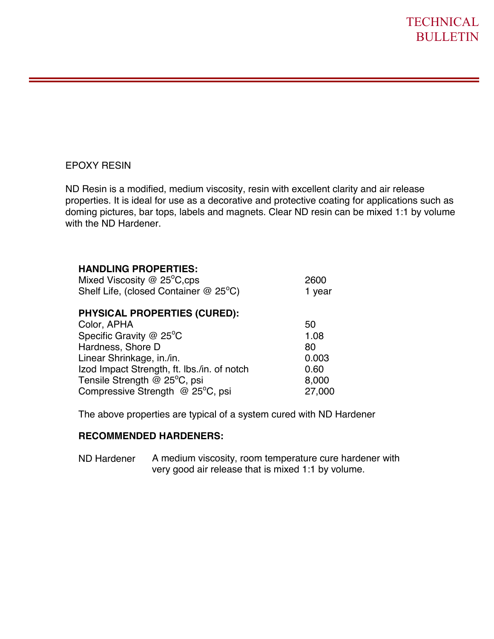## EPOXY RESIN

ND Resin is a modified, medium viscosity, resin with excellent clarity and air release properties. It is ideal for use as a decorative and protective coating for applications such as doming pictures, bar tops, labels and magnets. Clear ND resin can be mixed 1:1 by volume with the ND Hardener.

## **HANDLING PROPERTIES:**

| Mixed Viscosity $@$ 25 <sup>°</sup> C,cps            | 2600   |
|------------------------------------------------------|--------|
| Shelf Life, (closed Container $@$ 25 <sup>o</sup> C) | 1 year |
| <b>PHYSICAL PROPERTIES (CURED):</b>                  |        |

| Color, APHA                                 | 50     |
|---------------------------------------------|--------|
| Specific Gravity $@$ 25 <sup>o</sup> C      | 1.08   |
| Hardness, Shore D                           | 80     |
| Linear Shrinkage, in./in.                   | 0.003  |
| Izod Impact Strength, ft. Ibs./in. of notch | 0.60   |
| Tensile Strength @ 25°C, psi                | 8,000  |
| Compressive Strength @ 25°C, psi            | 27,000 |

The above properties are typical of a system cured with ND Hardener

## **RECOMMENDED HARDENERS:**

ND Hardener A medium viscosity, room temperature cure hardener with very good air release that is mixed 1:1 by volume.